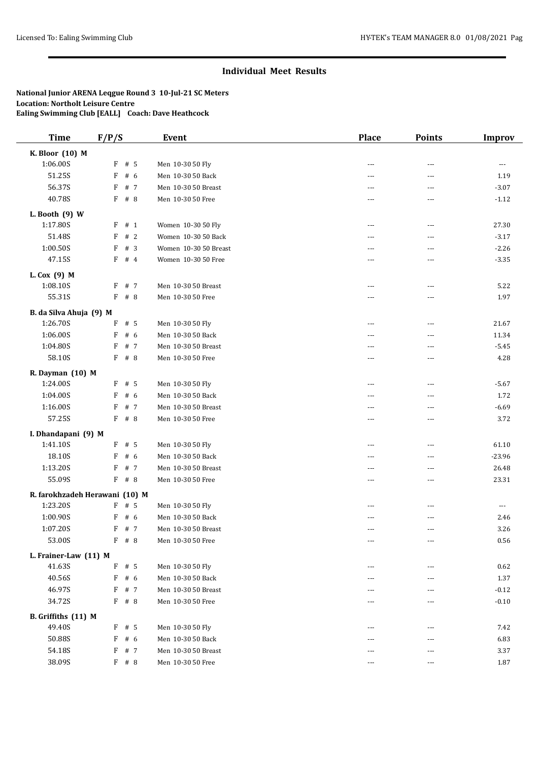| <b>Time</b>              | F/P/S                          | <b>Event</b>          | Place         | <b>Points</b>  | <b>Improv</b> |
|--------------------------|--------------------------------|-----------------------|---------------|----------------|---------------|
| K. Bloor (10) M          |                                |                       |               |                |               |
| 1:06.00S                 | F # 5                          | Men 10-30 50 Fly      | $---$         | ---            | ---           |
| 51.25S                   | F<br># 6                       | Men 10-30 50 Back     | ---           | ---            | 1.19          |
| 56.37S                   | # 7<br>F                       | Men 10-30 50 Breast   | $---$         | $\overline{a}$ | $-3.07$       |
| 40.78S                   | F # 8                          | Men 10-30 50 Free     | ---           | ---            | $-1.12$       |
| L. Booth $(9)$ W         |                                |                       |               |                |               |
| 1:17.80S                 | F # 1                          | Women 10-30 50 Fly    | ---           | ---            | 27.30         |
| 51.48S                   | #2<br>F                        | Women 10-30 50 Back   | ---           | ---            | $-3.17$       |
| 1:00.50S                 | # 3<br>F                       | Women 10-30 50 Breast | ---           | ---            | $-2.26$       |
| 47.15S                   | F<br>#4                        | Women 10-30 50 Free   |               | ---            | $-3.35$       |
|                          |                                |                       |               |                |               |
| L. Cox (9) M<br>1:08.10S | F # 7                          | Men 10-30 50 Breast   | ---           | ---            | 5.22          |
| 55.31S                   | $F$ # 8                        | Men 10-30 50 Free     | $---$         | ---            | 1.97          |
|                          |                                |                       |               |                |               |
| B. da Silva Ahuja (9) M  |                                |                       |               |                |               |
| 1:26.70S                 | F<br># 5                       | Men 10-30 50 Fly      | $---$         | $\overline{a}$ | 21.67         |
| 1:06.00S                 | # 6<br>F                       | Men 10-30 50 Back     | ---           | ---            | 11.34         |
| 1:04.80S                 | F<br># 7                       | Men 10-30 50 Breast   |               | ---            | $-5.45$       |
| 58.10S                   | $F$ # 8                        | Men 10-30 50 Free     | ---           | ---            | 4.28          |
| R. Dayman (10) M         |                                |                       |               |                |               |
| 1:24.00S                 | $F$ # 5                        | Men 10-30 50 Fly      | $\sim$ $\sim$ | $\overline{a}$ | $-5.67$       |
| 1:04.00S                 | F<br># 6                       | Men 10-30 50 Back     | ---           | ---            | 1.72          |
| 1:16.00S                 | F<br># 7                       | Men 10-30 50 Breast   | $---$         | ---            | $-6.69$       |
| 57.25S                   | F # 8                          | Men 10-30 50 Free     | ---           | ---            | 3.72          |
| I. Dhandapani (9) M      |                                |                       |               |                |               |
| 1:41.10S                 | $F$ # 5                        | Men 10-30 50 Fly      | $\sim$ $\sim$ | ---            | 61.10         |
| 18.10S                   | F<br># 6                       | Men 10-30 50 Back     |               | ---            | $-23.96$      |
| 1:13.20S                 | F<br># 7                       | Men 10-30 50 Breast   | ---           | ---            | 26.48         |
| 55.09S                   | $F$ # 8                        | Men 10-30 50 Free     | ---           | ---            | 23.31         |
|                          | R. farokhzadeh Herawani (10) M |                       |               |                |               |
| 1:23.20S                 | $F$ # 5                        | Men 10-30 50 Fly      | ---           | ---            | ---           |
| 1:00.90S                 | F<br># 6                       | Men 10-30 50 Back     |               | ---            | 2.46          |
| 1:07.20S                 | F<br># 7                       | Men 10-30 50 Breast   | ---           | ---            | 3.26          |
| 53.00S                   | $F$ # 8                        | Men 10-30 50 Free     | $---$         | $\cdots$       | 0.56          |
| L. Frainer-Law (11) M    |                                |                       |               |                |               |
| 41.63S                   | F<br># 5                       | Men 10-30 50 Fly      | ---           | ---            | 0.62          |
| 40.56S                   | F<br># 6                       | Men 10-30 50 Back     | ---           | ---            | 1.37          |
| 46.97S                   | F<br># 7                       | Men 10-30 50 Breast   |               | ---            | $-0.12$       |
| 34.72S                   | $F$ # 8                        | Men 10-30 50 Free     | $--$          | $\overline{a}$ | $-0.10$       |
|                          |                                |                       |               |                |               |
| B. Griffiths (11) M      |                                |                       |               |                |               |
| 49.40S                   | $F$ # 5                        | Men 10-30 50 Fly      | $---$         | ---            | 7.42          |
| 50.88S                   | F<br># 6                       | Men 10-30 50 Back     | ---           | ---            | 6.83          |
| 54.18S                   | F<br># 7                       | Men 10-30 50 Breast   |               | ---            | 3.37          |
| 38.09S                   | $F$ # 8                        | Men 10-30 50 Free     | $\cdots$      | ---            | 1.87          |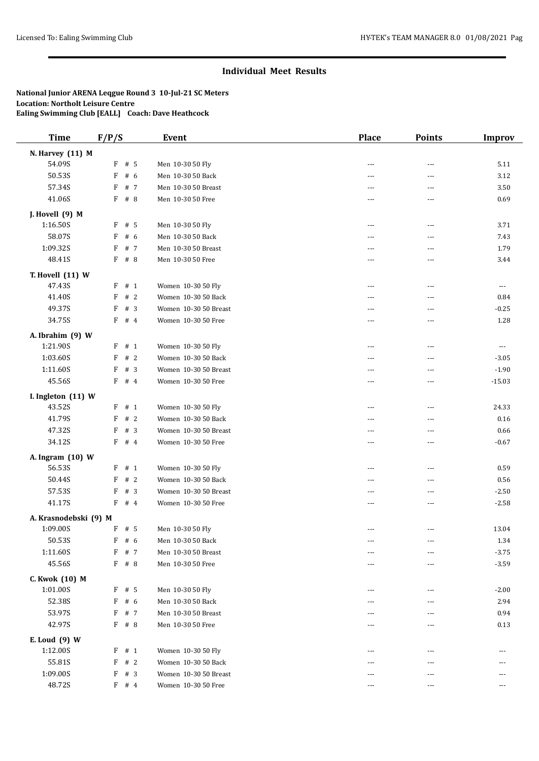| <b>Time</b>           | F/P/S               | <b>Event</b>          | <b>Place</b>      | <b>Points</b>            | <b>Improv</b>        |
|-----------------------|---------------------|-----------------------|-------------------|--------------------------|----------------------|
| N. Harvey (11) M      |                     |                       |                   |                          |                      |
| 54.09S                | $F$ # 5             | Men 10-30 50 Fly      | ---               | ---                      | 5.11                 |
| 50.53S                | $\mathbf{F}$<br># 6 | Men 10-30 50 Back     | $- - -$           | $---$                    | 3.12                 |
| 57.34S                | # 7<br>F            | Men 10-30 50 Breast   | ---               | ---                      | 3.50                 |
| 41.06S                | F # 8               | Men 10-30 50 Free     | ---               | ---                      | 0.69                 |
| J. Hovell (9) M       |                     |                       |                   |                          |                      |
| 1:16.50S              | $F$ # 5             | Men 10-30 50 Fly      | $\overline{a}$    | $\cdots$                 | 3.71                 |
| 58.07S                | # $6$<br>F          | Men 10-30 50 Back     | $\sim$ $\sim$     | $\overline{a}$           | 7.43                 |
| 1:09.32S              | F<br># 7            | Men 10-30 50 Breast   | ---               | ---                      | 1.79                 |
| 48.41S                | $F$ # 8             | Men 10-30 50 Free     | $\cdots$          | ---                      | 3.44                 |
|                       |                     |                       |                   |                          |                      |
| T. Hovell (11) W      |                     |                       |                   |                          |                      |
| 47.43S                | F<br># 1            | Women 10-30 50 Fly    | $\sim$            | $\overline{\phantom{a}}$ | $\scriptstyle\cdots$ |
| 41.40S                | # 2<br>F            | Women 10-30 50 Back   | $\overline{a}$    | ---                      | 0.84                 |
| 49.37S                | F<br>#3             | Women 10-30 50 Breast | ---               | ---                      | $-0.25$              |
| 34.75S                | $F$ # 4             | Women 10-30 50 Free   | $\overline{a}$    | ---                      | 1.28                 |
| A. Ibrahim (9) W      |                     |                       |                   |                          |                      |
| 1:21.90S              | F # 1               | Women 10-30 50 Fly    | $- - -$           | $---$                    | $\scriptstyle\cdots$ |
| 1:03.60S              | F<br>#2             | Women 10-30 50 Back   | ---               | ---                      | $-3.05$              |
| 1:11.60S              | F<br># 3            | Women 10-30 50 Breast | $- - -$           | ---                      | $-1.90$              |
| 45.56S                | $F$ # 4             | Women 10-30 50 Free   | $\overline{a}$    | ---                      | $-15.03$             |
| I. Ingleton (11) W    |                     |                       |                   |                          |                      |
| 43.52S                | # 1<br>F            | Women 10-30 50 Fly    | $\overline{a}$    | $\overline{a}$           | 24.33                |
| 41.79S                | #2<br>F             | Women 10-30 50 Back   | ---               | ---                      | 0.16                 |
| 47.32S                | # $3$<br>F          | Women 10-30 50 Breast | ---               | ---                      | 0.66                 |
| 34.12S                | F<br>#4             | Women 10-30 50 Free   | ---               | ---                      | $-0.67$              |
| A. Ingram (10) W      |                     |                       |                   |                          |                      |
| 56.53S                | F # 1               | Women 10-30 50 Fly    | ---               | ---                      | 0.59                 |
| 50.44S                | #2<br>F             | Women 10-30 50 Back   | $- - -$           | $---$                    | 0.56                 |
| 57.53S                | # 3<br>F            | Women 10-30 50 Breast | $\overline{a}$    | ---                      | $-2.50$              |
| 41.17S                | $F$ # 4             | Women 10-30 50 Free   | ---               | ---                      | $-2.58$              |
|                       |                     |                       |                   |                          |                      |
| A. Krasnodebski (9) M |                     |                       |                   |                          |                      |
| 1:09.00S              | F<br># 5            | Men 10-30 50 Fly      | ---               | ---                      | 13.04                |
| 50.53S                | F # 6               | Men 10-30 50 Back     | $\qquad \qquad -$ | ---                      | 1.34                 |
| 1:11.60S              | F<br># 7            | Men 10-30 50 Breast   | ---               | $\overline{\phantom{a}}$ | $-3.75$              |
| 45.56S                | F # 8               | Men 10-30 50 Free     | $\cdots$          | $\qquad \qquad -$        | $-3.59$              |
| C. Kwok (10) M        |                     |                       |                   |                          |                      |
| 1:01.00S              | $F$ # 5             | Men 10-30 50 Fly      | $---$             | $\cdots$                 | $-2.00$              |
| 52.38S                | F<br># 6            | Men 10-30 50 Back     |                   | ---                      | 2.94                 |
| 53.97S                | F<br># 7            | Men 10-30 50 Breast   |                   |                          | 0.94                 |
| 42.97S                | $F$ # 8             | Men 10-30 50 Free     | ---               | ---                      | 0.13                 |
| E. Loud (9) W         |                     |                       |                   |                          |                      |
| 1:12.00S              | F # 1               | Women 10-30 50 Fly    | $\cdots$          | $\cdots$                 | $\cdots$             |
| 55.81S                | F<br>#2             | Women 10-30 50 Back   | ---               | ---                      | ---                  |
| 1:09.00S              | #3<br>F             | Women 10-30 50 Breast | $---$             | ---                      | ---                  |
| 48.72S                | $F$ # 4             | Women 10-30 50 Free   | ---               | ---                      | ---                  |
|                       |                     |                       |                   |                          |                      |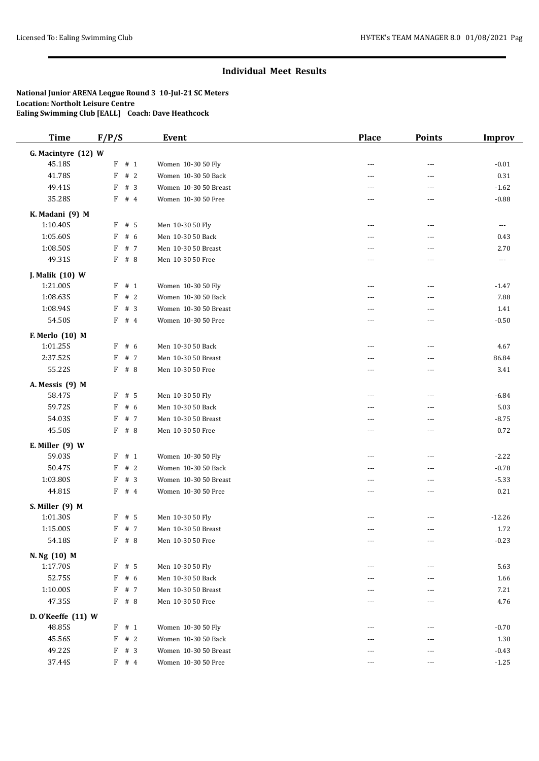| <b>Time</b>             | F/P/S              | <b>Event</b>          | <b>Place</b>   | <b>Points</b>            | <b>Improv</b>        |
|-------------------------|--------------------|-----------------------|----------------|--------------------------|----------------------|
| G. Macintyre (12) W     |                    |                       |                |                          |                      |
| 45.18S                  | $F$ # 1            | Women 10-30 50 Fly    | $\overline{a}$ | ---                      | $-0.01$              |
| 41.78S                  | # 2<br>F           | Women 10-30 50 Back   | $- - -$        | ---                      | 0.31                 |
| 49.41S                  | #3<br>F            | Women 10-30 50 Breast | $\sim$         | $\overline{a}$           | $-1.62$              |
| 35.28S                  | $F$ # 4            | Women 10-30 50 Free   | ---            | ---                      | $-0.88$              |
| K. Madani (9) M         |                    |                       |                |                          |                      |
| 1:10.40S                | $F$ # 5            | Men 10-30 50 Fly      | $\overline{a}$ | $\cdots$                 | $\sim$ $\sim$ $\sim$ |
| 1:05.60S                | F<br># 6           | Men 10-30 50 Back     | $- - -$        | ---                      | 0.43                 |
| 1:08.50S                | F<br># 7           | Men 10-30 50 Breast   | $\sim$ $\sim$  | ---                      | 2.70                 |
| 49.31S                  | $F$ # 8            | Men 10-30 50 Free     | ---            | ---                      | $\ldots$             |
| J. Malik (10) W         |                    |                       |                |                          |                      |
| 1:21.00S                | F<br>#1            | Women 10-30 50 Fly    | $\overline{a}$ | $\overline{\phantom{a}}$ | $-1.47$              |
| 1:08.635                | #2<br>F            | Women 10-30 50 Back   | $- - -$        | $---$                    | 7.88                 |
| 1:08.94S                | F<br># 3           | Women 10-30 50 Breast | ---            | $\overline{\phantom{a}}$ | 1.41                 |
| 54.50S                  | $\mathbf{F}$<br>#4 | Women 10-30 50 Free   | $- - -$        | ---                      | $-0.50$              |
| F. Merlo (10) M         |                    |                       |                |                          |                      |
| 1:01.25S                | F # 6              | Men 10-30 50 Back     | $\overline{a}$ | $\cdots$                 | 4.67                 |
| 2:37.52S                | F<br># 7           | Men 10-30 50 Breast   | $\sim$ $\sim$  | ---                      | 86.84                |
| 55.22S                  | $F$ # 8            | Men 10-30 50 Free     | ---            | ---                      | 3.41                 |
| A. Messis (9) M         |                    |                       |                |                          |                      |
| 58.47S                  | $F$ # 5            | Men 10-30 50 Fly      | $\overline{a}$ | $\overline{a}$           | $-6.84$              |
| 59.72S                  | F<br># 6           | Men 10-30 50 Back     | $- - -$        | $\overline{a}$           | 5.03                 |
| 54.03S                  | F<br># 7           | Men 10-30 50 Breast   | ---            | ---                      | $-8.75$              |
| 45.50S                  | $F$ # 8            | Men 10-30 50 Free     | $- - -$        | ---                      | 0.72                 |
| E. Miller $(9)$ W       |                    |                       |                |                          |                      |
| 59.03S                  | F # 1              | Women 10-30 50 Fly    | $- - -$        | ---                      | $-2.22$              |
| 50.47S                  | #2<br>F            | Women 10-30 50 Back   | $\sim$ $\sim$  | ---                      | $-0.78$              |
| 1:03.80S                | # $3$<br>F         | Women 10-30 50 Breast | $- - -$        | ---                      | $-5.33$              |
| 44.81S                  | $F$ # 4            | Women 10-30 50 Free   | $\sim$         | $\overline{a}$           | 0.21                 |
| S. Miller (9) M         |                    |                       |                |                          |                      |
| 1:01.30S                | $F$ # 5            | Men 10-30 50 Fly      | $- - -$        | $---$                    | $-12.26$             |
| 1:15.00S                | F # 7              | Men 10-30 50 Breast   | $\sim$ $\sim$  | ---                      | 1.72                 |
| 54.18S                  | F # 8              | Men 10-30 50 Free     | $\cdots$       | $\scriptstyle\cdots$     | $-0.23$              |
| N. Ng (10) M            |                    |                       |                |                          |                      |
| 1:17.70S                | $F$ # 5            | Men 10-30 50 Fly      | ---            | $\cdots$                 | 5.63                 |
| 52.75S                  | F<br># 6           | Men 10-30 50 Back     | ---            | ---                      | 1.66                 |
| 1:10.00S                | F<br># 7           | Men 10-30 50 Breast   |                | ---                      | 7.21                 |
| 47.35S                  | $F$ # 8            | Men 10-30 50 Free     | $---$          | $\cdots$                 | 4.76                 |
| $D. O'$ Keeffe $(11)$ W |                    |                       |                |                          |                      |
| 48.85S                  | $F$ # 1            | Women 10-30 50 Fly    | $--$           | $---$                    | $-0.70$              |
| 45.56S                  | F<br>#2            | Women 10-30 50 Back   | $---$          | $---$                    | 1.30                 |
| 49.22S                  | F # 3              | Women 10-30 50 Breast | ---            | ---                      | $-0.43$              |
| 37.44S                  | $F$ # 4            | Women 10-30 50 Free   | ---            | ---                      | $-1.25$              |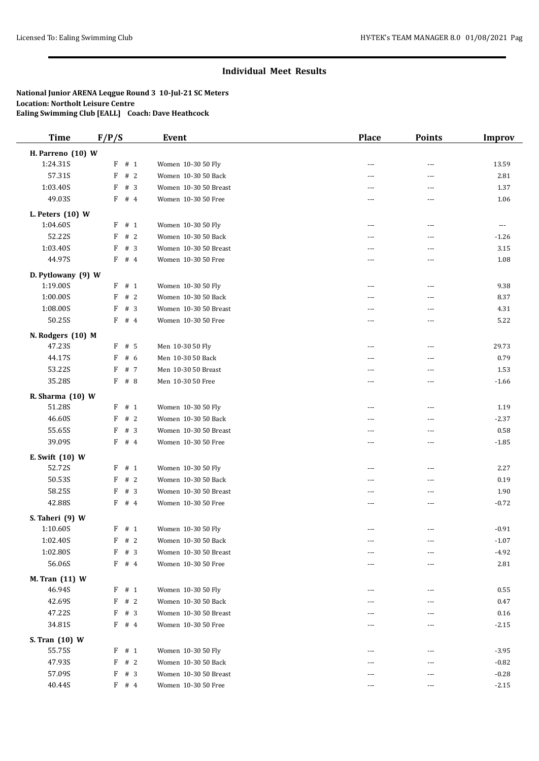| <b>Time</b>                    | F/P/S      | <b>Event</b>                              | <b>Place</b>             | <b>Points</b>            | <b>Improv</b>        |
|--------------------------------|------------|-------------------------------------------|--------------------------|--------------------------|----------------------|
| H. Parreno (10) W              |            |                                           |                          |                          |                      |
| 1:24.31S                       | $F$ # 1    | Women 10-30 50 Fly                        | $\sim$                   | ---                      | 13.59                |
| 57.31S                         | # 2<br>F   | Women 10-30 50 Back                       | $- - -$                  | ---                      | 2.81                 |
| 1:03.40S                       | #3<br>F    | Women 10-30 50 Breast                     | $\sim$                   | $\overline{a}$           | 1.37                 |
| 49.03S                         | F # 4      | Women 10-30 50 Free                       | ---                      | ---                      | 1.06                 |
|                                |            |                                           |                          |                          |                      |
| L. Peters $(10)$ W<br>1:04.60S | $F$ # 1    | Women 10-30 50 Fly                        | $\overline{a}$           | $\overline{\phantom{a}}$ | $\sim$ $\sim$ $\sim$ |
| 52.22S                         | # 2<br>F   | Women 10-30 50 Back                       | $- - -$                  | ---                      | $-1.26$              |
| 1:03.40S                       | # $3$<br>F | Women 10-30 50 Breast                     | $- - -$                  | ---                      | 3.15                 |
| 44.97S                         | $F$ # 4    | Women 10-30 50 Free                       | ---                      | ---                      | 1.08                 |
|                                |            |                                           |                          |                          |                      |
| D. Pytlowany (9) W             |            |                                           |                          |                          |                      |
| 1:19.00S                       | F<br># 1   | Women 10-30 50 Fly                        | $\overline{a}$           | $\overline{\phantom{a}}$ | 9.38                 |
| 1:00.00S                       | #2<br>F    | Women 10-30 50 Back                       | $- - -$                  | $---$                    | 8.37                 |
| 1:08.00S                       | #3<br>F    | Women 10-30 50 Breast                     | ---                      | $\overline{\phantom{a}}$ | 4.31                 |
| 50.25S                         | F<br>#4    | Women 10-30 50 Free                       | $- - -$                  | ---                      | 5.22                 |
| N. Rodgers (10) M              |            |                                           |                          |                          |                      |
| 47.23S                         | $F$ # 5    | Men 10-30 50 Fly                          | $\overline{a}$           | $\frac{1}{2}$            | 29.73                |
| 44.17S                         | F<br># 6   | Men 10-30 50 Back                         | $\sim$ $\sim$            | ---                      | 0.79                 |
| 53.22S                         | F<br># 7   | Men 10-30 50 Breast                       | $- - -$                  | ---                      | 1.53                 |
| 35.28S                         | $F$ # 8    | Men 10-30 50 Free                         | $- - -$                  | $\overline{a}$           | $-1.66$              |
| R. Sharma (10) W               |            |                                           |                          |                          |                      |
| 51.28S                         | # 1<br>F   | Women 10-30 50 Fly                        | $\sim$                   | $---$                    | 1.19                 |
| 46.60S                         | # 2<br>F   | Women 10-30 50 Back                       | ---                      | ---                      | $-2.37$              |
| 55.65S                         | #3<br>F    | Women 10-30 50 Breast                     | $---$                    | ---                      | 0.58                 |
| 39.09S                         | F<br>#4    | Women 10-30 50 Free                       | $\sim$ $\sim$            | ---                      | $-1.85$              |
|                                |            |                                           |                          |                          |                      |
| E. Swift (10) W<br>52.72S      | F<br># 1   |                                           | $\sim$                   | ---                      | 2.27                 |
| 50.53S                         | # 2        | Women 10-30 50 Fly<br>Women 10-30 50 Back |                          | $---$                    |                      |
|                                | F          |                                           | $- - -$                  |                          | 0.19                 |
| 58.25S                         | # $3$<br>F | Women 10-30 50 Breast                     | $\sim$                   | $\overline{a}$           | 1.90                 |
| 42.88S                         | F<br>#4    | Women 10-30 50 Free                       | ---                      | ---                      | $-0.72$              |
| S. Taheri (9) W                |            |                                           |                          |                          |                      |
| 1:10.60S                       | $F$ # 1    | Women 10-30 50 Fly                        | ---                      | $\overline{a}$           | $-0.91$              |
| 1:02.40S                       | F # 2      | Women 10-30 50 Back                       | $\overline{\phantom{a}}$ | $\overline{\phantom{a}}$ | $-1.07$              |
| 1:02.80S                       | F<br>#3    | Women 10-30 50 Breast                     | ---                      | $\cdots$                 | $-4.92$              |
| 56.06S                         | $F$ # 4    | Women 10-30 50 Free                       | ---                      | ---                      | 2.81                 |
| M. Tran (11) W                 |            |                                           |                          |                          |                      |
| 46.94S                         | $F$ # 1    | Women 10-30 50 Fly                        | ---                      | $\overline{\phantom{a}}$ | 0.55                 |
| 42.69S                         | F # 2      | Women 10-30 50 Back                       | $---$                    | ---                      | 0.47                 |
| 47.22S                         | F<br>#3    | Women 10-30 50 Breast                     | ---                      | ---                      | 0.16                 |
| 34.81S                         | $F$ # 4    | Women 10-30 50 Free                       | ---                      | ---                      | $-2.15$              |
| S. Tran (10) W                 |            |                                           |                          |                          |                      |
| 55.75S                         | F # 1      | Women 10-30 50 Fly                        | ---                      | $\cdots$                 | $-3.95$              |
| 47.93S                         | F<br>#2    | Women 10-30 50 Back                       | $---$                    | ---                      | $-0.82$              |
| 57.09S                         | #3<br>F    | Women 10-30 50 Breast                     |                          | ---                      | $-0.28$              |
|                                |            |                                           |                          | $\frac{1}{2}$            |                      |
| 40.44S                         | $F$ # 4    | Women 10-30 50 Free                       | $---$                    |                          | $-2.15$              |